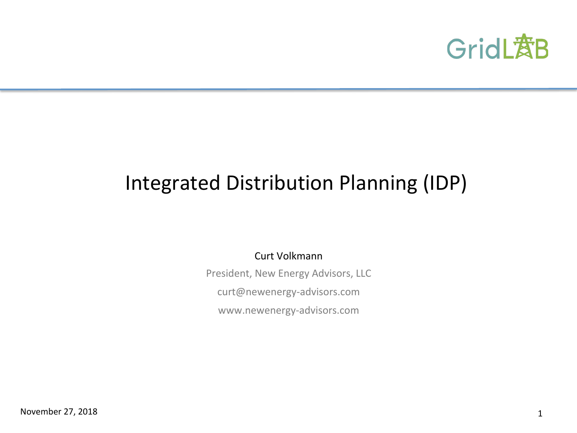

# Integrated Distribution Planning (IDP)

Curt Volkmann 

President, New Energy Advisors, LLC curt@newenergy-advisors.com www.newenergy-advisors.com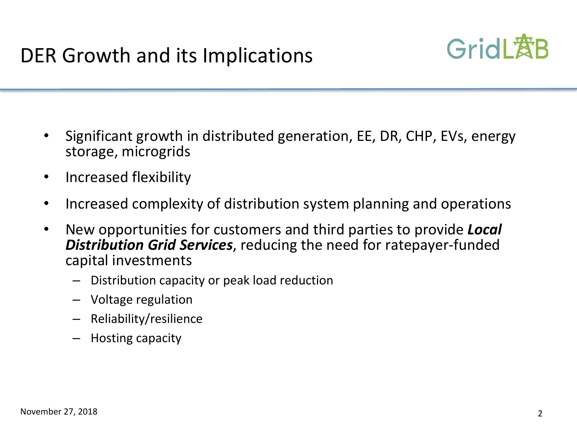

- Significant growth in distributed generation, EE, DR, CHP, EVs, energy storage, microgrids
- Increased flexibility
- Increased complexity of distribution system planning and operations
- New opportunities for customers and third parties to provide **Local Distribution Grid Services**, reducing the need for ratepayer-funded capital investments
	- Distribution capacity or peak load reduction
	- $-$  Voltage regulation
	- Reliability/resilience
	- $-$  Hosting capacity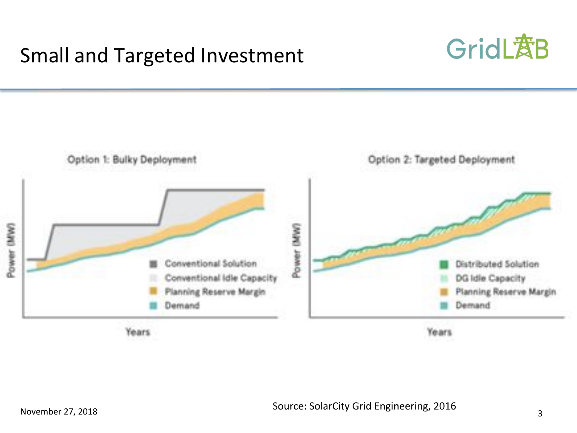## Small and Targeted Investment



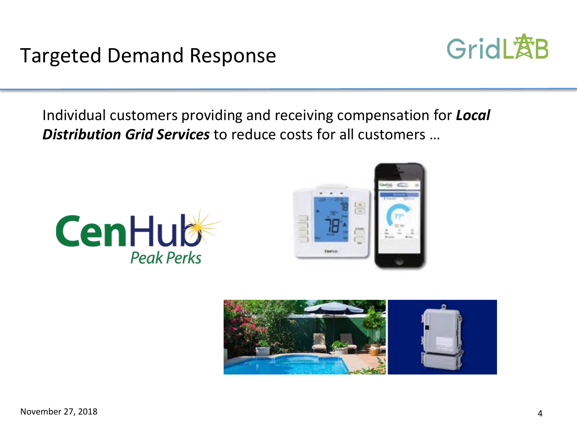### Targeted Demand Response



Individual customers providing and receiving compensation for **Local Distribution Grid Services** to reduce costs for all customers ...





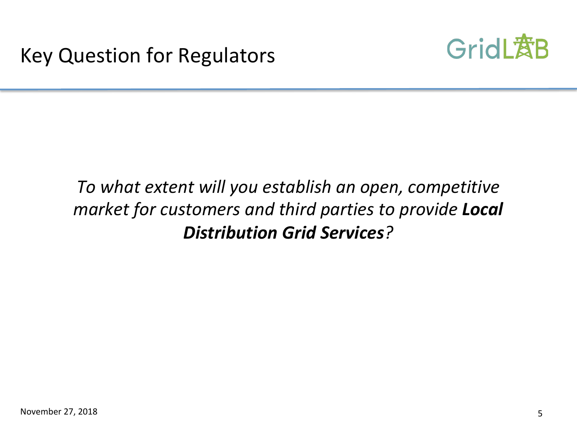

### To what extent will you establish an open, competitive *market for customers and third parties to provide Local Distribution Grid Services?*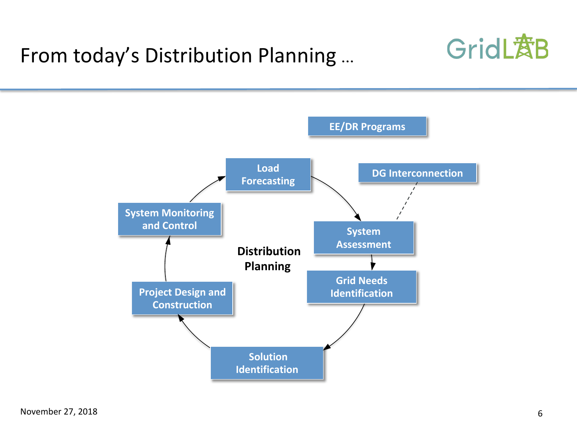## From today's Distribution Planning ...



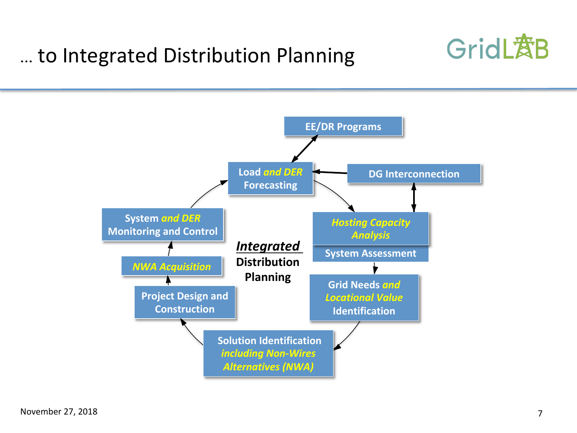# … to Integrated Distribution Planning



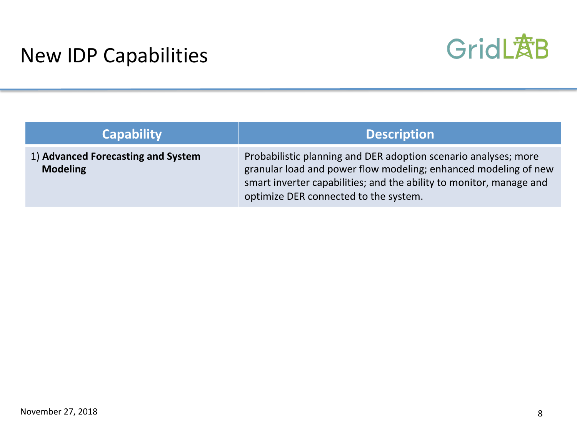

| <b>Capability</b>                                     | <b>Description</b>                                                                                                                                                                                                                                 |
|-------------------------------------------------------|----------------------------------------------------------------------------------------------------------------------------------------------------------------------------------------------------------------------------------------------------|
| 1) Advanced Forecasting and System<br><b>Modeling</b> | Probabilistic planning and DER adoption scenario analyses; more<br>granular load and power flow modeling; enhanced modeling of new<br>smart inverter capabilities; and the ability to monitor, manage and<br>optimize DER connected to the system. |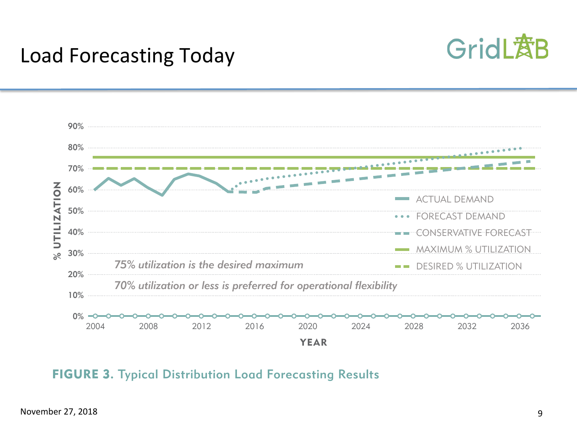

### Load Forecasting Today in time and linear extrapolations of historical data to



#### FIGURE 3. Typical Distribution Load Forecasting Results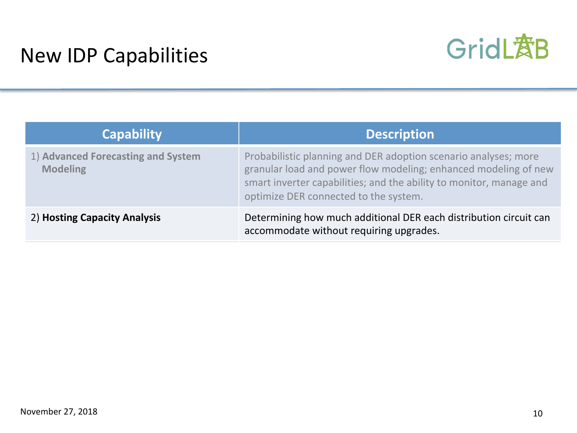

| <b>Capability</b>                                     | <b>Description</b>                                                                                                                                                                                                                                 |
|-------------------------------------------------------|----------------------------------------------------------------------------------------------------------------------------------------------------------------------------------------------------------------------------------------------------|
| 1) Advanced Forecasting and System<br><b>Modeling</b> | Probabilistic planning and DER adoption scenario analyses; more<br>granular load and power flow modeling; enhanced modeling of new<br>smart inverter capabilities; and the ability to monitor, manage and<br>optimize DER connected to the system. |
| 2) Hosting Capacity Analysis                          | Determining how much additional DER each distribution circuit can<br>accommodate without requiring upgrades.                                                                                                                                       |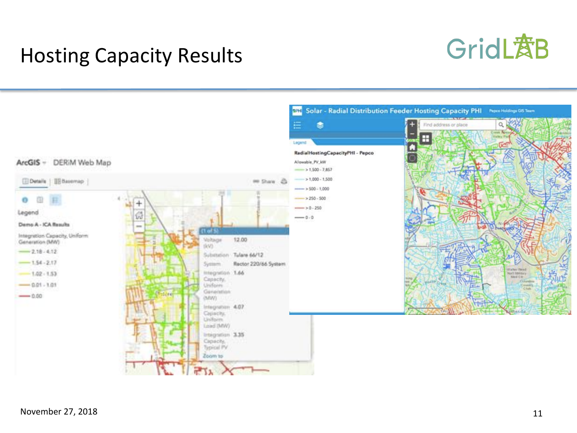

### **Hosting Capacity Results**

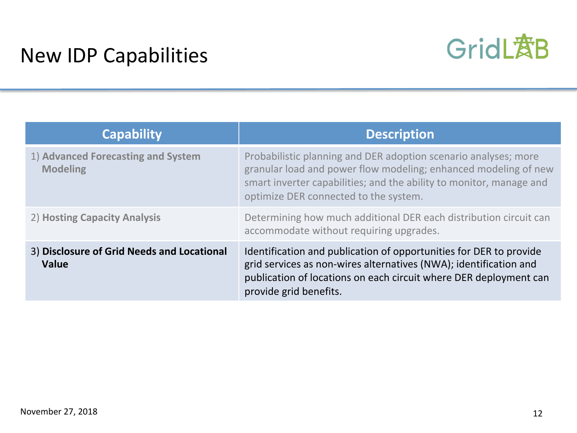

| <b>Capability</b>                                     | <b>Description</b>                                                                                                                                                                                                                                 |
|-------------------------------------------------------|----------------------------------------------------------------------------------------------------------------------------------------------------------------------------------------------------------------------------------------------------|
| 1) Advanced Forecasting and System<br><b>Modeling</b> | Probabilistic planning and DER adoption scenario analyses; more<br>granular load and power flow modeling; enhanced modeling of new<br>smart inverter capabilities; and the ability to monitor, manage and<br>optimize DER connected to the system. |
| 2) Hosting Capacity Analysis                          | Determining how much additional DER each distribution circuit can<br>accommodate without requiring upgrades.                                                                                                                                       |
| 3) Disclosure of Grid Needs and Locational<br>Value   | Identification and publication of opportunities for DER to provide<br>grid services as non-wires alternatives (NWA); identification and<br>publication of locations on each circuit where DER deployment can<br>provide grid benefits.             |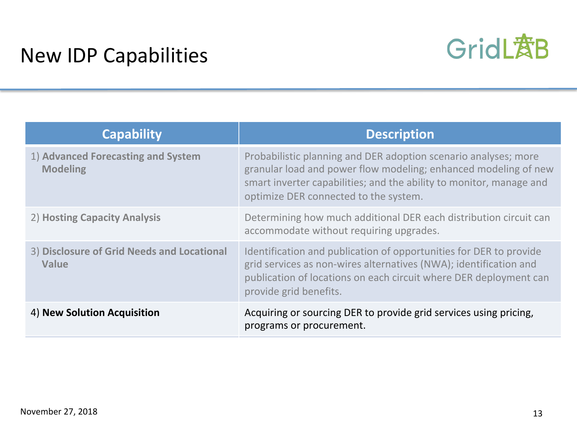

| <b>Capability</b>                                     | <b>Description</b>                                                                                                                                                                                                                                 |
|-------------------------------------------------------|----------------------------------------------------------------------------------------------------------------------------------------------------------------------------------------------------------------------------------------------------|
| 1) Advanced Forecasting and System<br><b>Modeling</b> | Probabilistic planning and DER adoption scenario analyses; more<br>granular load and power flow modeling; enhanced modeling of new<br>smart inverter capabilities; and the ability to monitor, manage and<br>optimize DER connected to the system. |
| 2) Hosting Capacity Analysis                          | Determining how much additional DER each distribution circuit can<br>accommodate without requiring upgrades.                                                                                                                                       |
| 3) Disclosure of Grid Needs and Locational<br>Value   | Identification and publication of opportunities for DER to provide<br>grid services as non-wires alternatives (NWA); identification and<br>publication of locations on each circuit where DER deployment can<br>provide grid benefits.             |
| 4) New Solution Acquisition                           | Acquiring or sourcing DER to provide grid services using pricing,<br>programs or procurement.                                                                                                                                                      |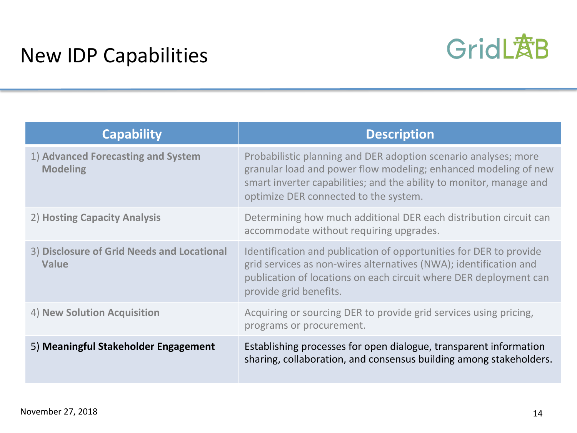

| <b>Capability</b>                                     | <b>Description</b>                                                                                                                                                                                                                                 |
|-------------------------------------------------------|----------------------------------------------------------------------------------------------------------------------------------------------------------------------------------------------------------------------------------------------------|
| 1) Advanced Forecasting and System<br><b>Modeling</b> | Probabilistic planning and DER adoption scenario analyses; more<br>granular load and power flow modeling; enhanced modeling of new<br>smart inverter capabilities; and the ability to monitor, manage and<br>optimize DER connected to the system. |
| 2) Hosting Capacity Analysis                          | Determining how much additional DER each distribution circuit can<br>accommodate without requiring upgrades.                                                                                                                                       |
| 3) Disclosure of Grid Needs and Locational<br>Value   | Identification and publication of opportunities for DER to provide<br>grid services as non-wires alternatives (NWA); identification and<br>publication of locations on each circuit where DER deployment can<br>provide grid benefits.             |
| 4) New Solution Acquisition                           | Acquiring or sourcing DER to provide grid services using pricing,<br>programs or procurement.                                                                                                                                                      |
| 5) Meaningful Stakeholder Engagement                  | Establishing processes for open dialogue, transparent information<br>sharing, collaboration, and consensus building among stakeholders.                                                                                                            |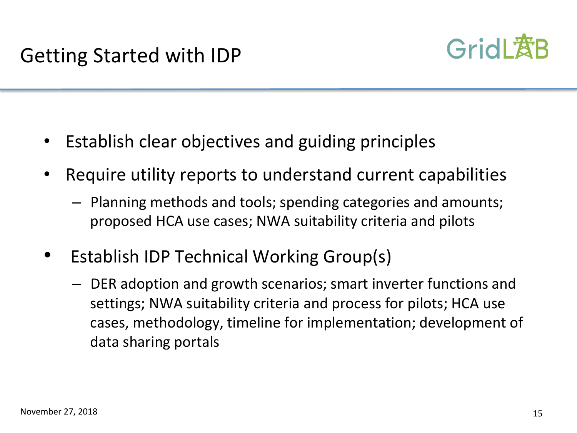

- Establish clear objectives and guiding principles
- Require utility reports to understand current capabilities
	- $-$  Planning methods and tools; spending categories and amounts; proposed HCA use cases; NWA suitability criteria and pilots
- Establish IDP Technical Working Group(s)
	- $-$  DER adoption and growth scenarios; smart inverter functions and settings; NWA suitability criteria and process for pilots; HCA use cases, methodology, timeline for implementation; development of data sharing portals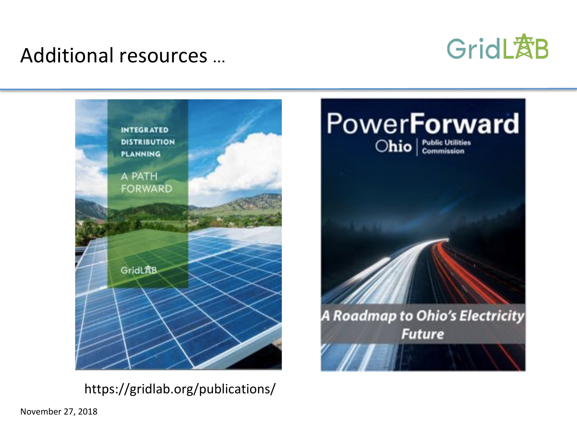### Additional resources ...





https://gridlab.org/publications/ 

November 27, 2018